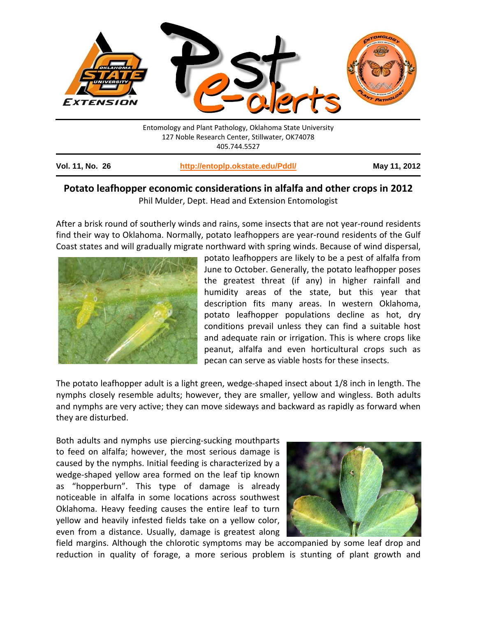

## **Potato leafhopper economic considerations in alfalfa and other crops in 2012** Phil Mulder, Dept. Head and Extension Entomologist

After a brisk round of southerly winds and rains, some insects that are not year-round residents find their way to Oklahoma. Normally, potato leafhoppers are year-round residents of the Gulf Coast states and will gradually migrate northward with spring winds. Because of wind dispersal,



potato leafhoppers are likely to be a pest of alfalfa from June to October. Generally, the potato leafhopper poses the greatest threat (if any) in higher rainfall and humidity areas of the state, but this year that description fits many areas. In western Oklahoma, potato leafhopper populations decline as hot, dry conditions prevail unless they can find a suitable host and adequate rain or irrigation. This is where crops like peanut, alfalfa and even horticultural crops such as pecan can serve as viable hosts for these insects.

The potato leafhopper adult is a light green, wedge-shaped insect about 1/8 inch in length. The nymphs closely resemble adults; however, they are smaller, yellow and wingless. Both adults and nymphs are very active; they can move sideways and backward as rapidly as forward when they are disturbed.

Both adults and nymphs use piercing-sucking mouthparts to feed on alfalfa; however, the most serious damage is caused by the nymphs. Initial feeding is characterized by a wedge-shaped yellow area formed on the leaf tip known as "hopperburn". This type of damage is already noticeable in alfalfa in some locations across southwest Oklahoma. Heavy feeding causes the entire leaf to turn yellow and heavily infested fields take on a yellow color, even from a distance. Usually, damage is greatest along



field margins. Although the chlorotic symptoms may be accompanied by some leaf drop and reduction in quality of forage, a more serious problem is stunting of plant growth and